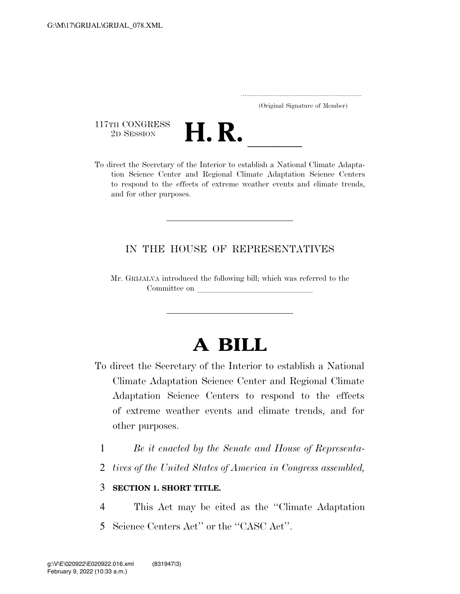..................................................................... (Original Signature of Member)

117TH CONGRESS<br>2D SESSION



117TH CONGRESS<br>
2D SESSION<br>
To direct the Secretary of the Interior to establish a National Climate Adaptation Science Center and Regional Climate Adaptation Science Centers to respond to the effects of extreme weather events and climate trends, and for other purposes.

### IN THE HOUSE OF REPRESENTATIVES

Mr. GRIJALVA introduced the following bill; which was referred to the Committee on

# **A BILL**

- To direct the Secretary of the Interior to establish a National Climate Adaptation Science Center and Regional Climate Adaptation Science Centers to respond to the effects of extreme weather events and climate trends, and for other purposes.
	- 1 *Be it enacted by the Senate and House of Representa-*
	- 2 *tives of the United States of America in Congress assembled,*

#### 3 **SECTION 1. SHORT TITLE.**

4 This Act may be cited as the ''Climate Adaptation 5 Science Centers Act'' or the ''CASC Act''.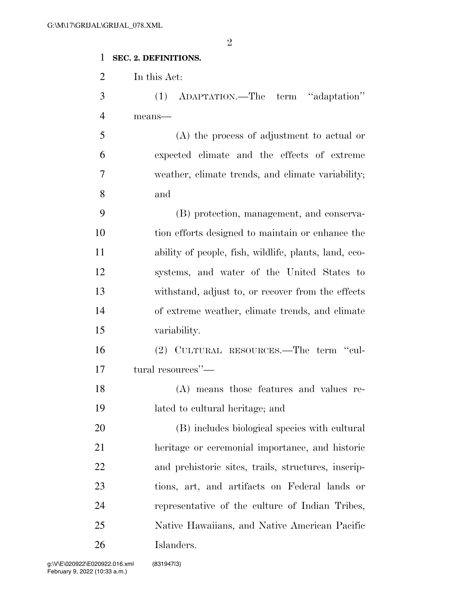#### **SEC. 2. DEFINITIONS.**

In this Act:

 (1) ADAPTATION.—The term ''adaptation'' means—

 (A) the process of adjustment to actual or expected climate and the effects of extreme weather, climate trends, and climate variability; and

 (B) protection, management, and conserva- tion efforts designed to maintain or enhance the ability of people, fish, wildlife, plants, land, eco- systems, and water of the United States to withstand, adjust to, or recover from the effects of extreme weather, climate trends, and climate variability.

 (2) CULTURAL RESOURCES.—The term ''cul-tural resources''—

 (A) means those features and values re-lated to cultural heritage; and

 (B) includes biological species with cultural heritage or ceremonial importance, and historic and prehistoric sites, trails, structures, inscrip- tions, art, and artifacts on Federal lands or representative of the culture of Indian Tribes, Native Hawaiians, and Native American Pacific Islanders.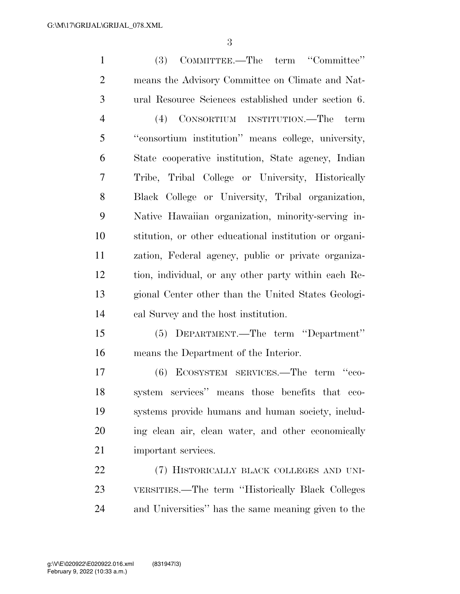| $\mathbf{1}$   | COMMITTEE.—The term "Committee"<br>(3)                 |
|----------------|--------------------------------------------------------|
| $\overline{2}$ | means the Advisory Committee on Climate and Nat-       |
| 3              | ural Resource Sciences established under section 6.    |
| 4              | (4) CONSORTIUM INSTITUTION.—The<br>term                |
| 5              | "consortium institution" means college, university,    |
| 6              | State cooperative institution, State agency, Indian    |
| 7              | Tribe, Tribal College or University, Historically      |
| 8              | Black College or University, Tribal organization,      |
| 9              | Native Hawaiian organization, minority-serving in-     |
| 10             | stitution, or other educational institution or organi- |
| 11             | zation, Federal agency, public or private organiza-    |
| 12             | tion, individual, or any other party within each Re-   |
| 13             | gional Center other than the United States Geologi-    |
| 14             | cal Survey and the host institution.                   |
| 15             | (5) DEPARTMENT.—The term "Department"                  |
| 16             | means the Department of the Interior.                  |
| 17             | ECOSYSTEM SERVICES.—The term "eco-<br>(6)              |
| 18             | system services" means those benefits that eco-        |
| 19             | systems provide humans and human society, includ-      |
| 20             | ing clean air, clean water, and other economically     |
| 21             | important services.                                    |
| 22             | (7) HISTORICALLY BLACK COLLEGES AND UNI-               |
| 23             | VERSITIES.—The term "Historically Black Colleges       |
| 24             | and Universities" has the same meaning given to the    |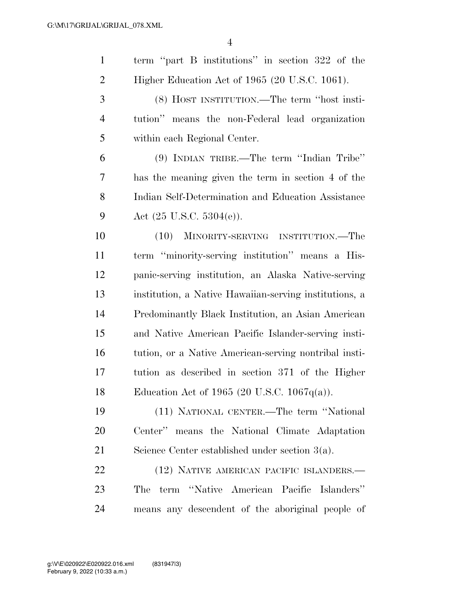| $\mathbf{1}$   | term "part B institutions" in section 322 of the       |
|----------------|--------------------------------------------------------|
| $\overline{2}$ | Higher Education Act of 1965 (20 U.S.C. 1061).         |
| 3              | (8) HOST INSTITUTION.—The term "host insti-            |
| $\overline{4}$ | tution" means the non-Federal lead organization        |
| 5              | within each Regional Center.                           |
| 6              | (9) INDIAN TRIBE.—The term "Indian Tribe"              |
| 7              | has the meaning given the term in section 4 of the     |
| 8              | Indian Self-Determination and Education Assistance     |
| 9              | Act $(25 \text{ U.S.C. } 5304(e))$ .                   |
| 10             | (10)<br>MINORITY-SERVING INSTITUTION.—The              |
| 11             | term "minority-serving institution" means a His-       |
| 12             | panic-serving institution, an Alaska Native-serving    |
| 13             | institution, a Native Hawaiian-serving institutions, a |
| 14             | Predominantly Black Institution, an Asian American     |
| 15             | and Native American Pacific Islander-serving insti-    |
| 16             | tution, or a Native American-serving nontribal insti-  |
| 17             | tution as described in section 371 of the Higher       |
| 18             | Education Act of 1965 (20 U.S.C. 1067 $q(a)$ ).        |
| 19             | (11) NATIONAL CENTER.—The term "National               |
| 20             | Center" means the National Climate Adaptation          |
| 21             | Science Center established under section $3(a)$ .      |
| 22             | (12) NATIVE AMERICAN PACIFIC ISLANDERS.—               |
| 23             | term "Native American Pacific Islanders"<br>The        |
| 24             | means any descendent of the aboriginal people of       |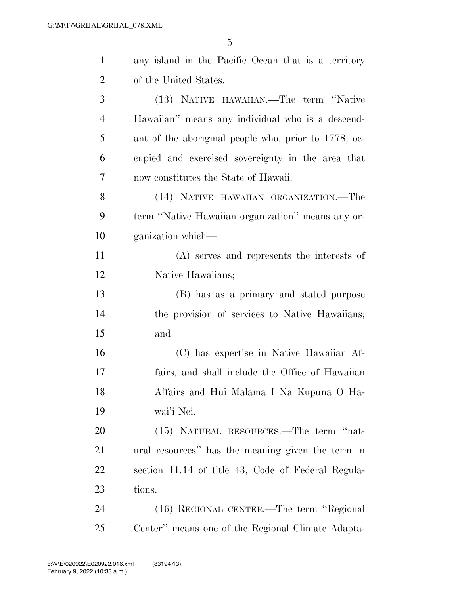| $\mathbf{1}$   | any island in the Pacific Ocean that is a territory  |
|----------------|------------------------------------------------------|
| $\overline{2}$ | of the United States.                                |
| 3              | (13) NATIVE HAWAIIAN.—The term "Native               |
| $\overline{4}$ | Hawaiian" means any individual who is a descend-     |
| 5              | ant of the aboriginal people who, prior to 1778, oc- |
| 6              | cupied and exercised sovereignty in the area that    |
| 7              | now constitutes the State of Hawaii.                 |
| 8              | (14) NATIVE HAWAIIAN ORGANIZATION.—The               |
| 9              | term "Native Hawaiian organization" means any or-    |
| 10             | ganization which—                                    |
| 11             | (A) serves and represents the interests of           |
| 12             | Native Hawaiians;                                    |
| 13             | (B) has as a primary and stated purpose              |
| 14             | the provision of services to Native Hawaiians;       |
| 15             | and                                                  |
| 16             | (C) has expertise in Native Hawaiian Af-             |
| 17             | fairs, and shall include the Office of Hawaiian      |
| 18             | Affairs and Hui Malama I Na Kupuna O Ha-             |
| 19             | wai'i Nei.                                           |
| 20             | (15) NATURAL RESOURCES.—The term "nat-               |
| 21             | ural resources" has the meaning given the term in    |
| 22             | section 11.14 of title 43, Code of Federal Regula-   |
| 23             | tions.                                               |
| 24             | (16) REGIONAL CENTER.—The term "Regional             |
| 25             | Center" means one of the Regional Climate Adapta-    |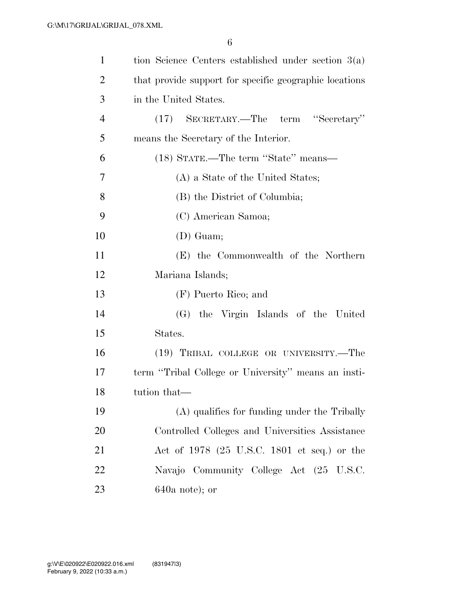| $\mathbf{1}$   | tion Science Centers established under section $3(a)$  |
|----------------|--------------------------------------------------------|
| $\overline{2}$ | that provide support for specific geographic locations |
| 3              | in the United States.                                  |
| $\overline{4}$ | (17) SECRETARY.—The term "Secretary"                   |
| 5              | means the Secretary of the Interior.                   |
| 6              | (18) STATE.—The term "State" means—                    |
| 7              | (A) a State of the United States;                      |
| 8              | (B) the District of Columbia;                          |
| 9              | (C) American Samoa;                                    |
| 10             | $(D)$ Guam;                                            |
| 11             | (E) the Commonwealth of the Northern                   |
| 12             | Mariana Islands;                                       |
| 13             | (F) Puerto Rico; and                                   |
| 14             | (G) the Virgin Islands of the United                   |
| 15             | States.                                                |
| 16             | (19) TRIBAL COLLEGE OR UNIVERSITY.—The                 |
| 17             | term "Tribal College or University" means an insti-    |
| 18             | tution that—                                           |
| 19             | (A) qualifies for funding under the Tribally           |
| 20             | Controlled Colleges and Universities Assistance        |
| 21             | Act of 1978 (25 U.S.C. 1801 et seq.) or the            |
| 22             | Navajo Community College Act (25 U.S.C.                |
| 23             | $640a$ note); or                                       |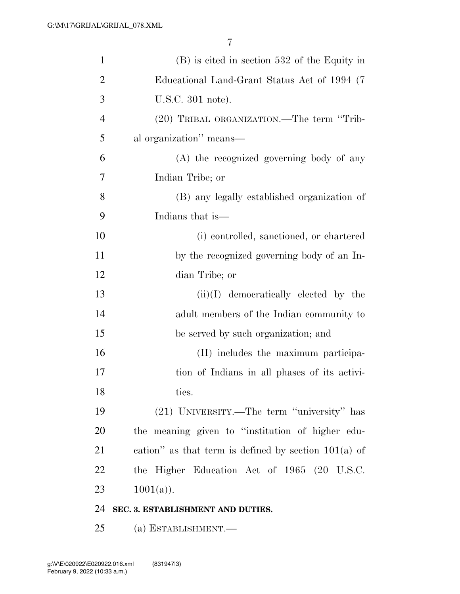| $\mathbf{1}$   | $(B)$ is cited in section 532 of the Equity in         |
|----------------|--------------------------------------------------------|
| $\overline{2}$ | Educational Land-Grant Status Act of 1994 (7)          |
| 3              | U.S.C. 301 note).                                      |
| $\overline{4}$ | (20) TRIBAL ORGANIZATION.—The term "Trib-              |
| 5              | al organization" means—                                |
| 6              | (A) the recognized governing body of any               |
| 7              | Indian Tribe; or                                       |
| 8              | (B) any legally established organization of            |
| 9              | Indians that is—                                       |
| 10             | (i) controlled, sanctioned, or chartered               |
| 11             | by the recognized governing body of an In-             |
| 12             | dian Tribe; or                                         |
| 13             | $(ii)(I)$ democratically elected by the                |
| 14             | adult members of the Indian community to               |
| 15             | be served by such organization; and                    |
| 16             | (II) includes the maximum participa-                   |
| 17             | tion of Indians in all phases of its activi-           |
| 18             | ties.                                                  |
| 19             | (21) UNIVERSITY.—The term "university" has             |
| <b>20</b>      | the meaning given to "institution of higher edu-       |
| 21             | cation" as that term is defined by section $101(a)$ of |
| 22             | the Higher Education Act of 1965 (20 U.S.C.            |
| 23             | $1001(a)$ .                                            |
| 24             | SEC. 3. ESTABLISHMENT AND DUTIES.                      |
| 25             | (a) ESTABLISHMENT.—                                    |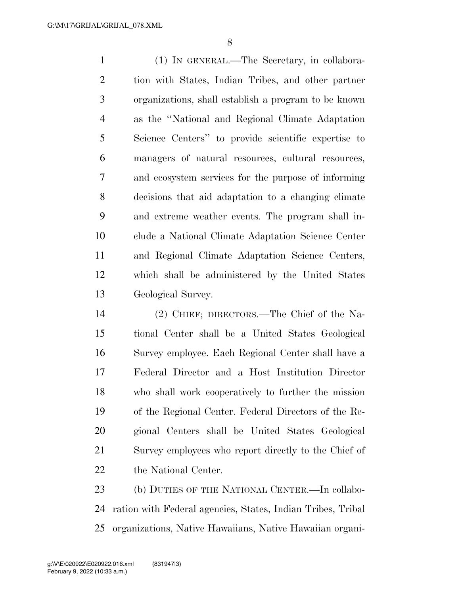(1) IN GENERAL.—The Secretary, in collabora- tion with States, Indian Tribes, and other partner organizations, shall establish a program to be known as the ''National and Regional Climate Adaptation Science Centers'' to provide scientific expertise to managers of natural resources, cultural resources, and ecosystem services for the purpose of informing decisions that aid adaptation to a changing climate and extreme weather events. The program shall in- clude a National Climate Adaptation Science Center and Regional Climate Adaptation Science Centers, which shall be administered by the United States Geological Survey.

 (2) CHIEF; DIRECTORS.—The Chief of the Na- tional Center shall be a United States Geological Survey employee. Each Regional Center shall have a Federal Director and a Host Institution Director who shall work cooperatively to further the mission of the Regional Center. Federal Directors of the Re- gional Centers shall be United States Geological Survey employees who report directly to the Chief of the National Center.

23 (b) DUTIES OF THE NATIONAL CENTER. In collabo- ration with Federal agencies, States, Indian Tribes, Tribal organizations, Native Hawaiians, Native Hawaiian organi-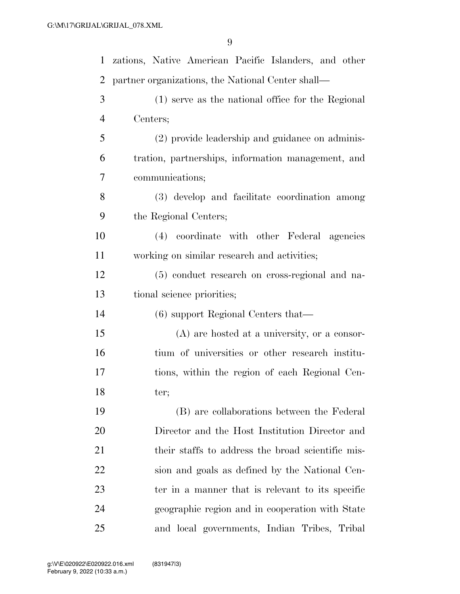| $\mathbf{1}$   | zations, Native American Pacific Islanders, and other |
|----------------|-------------------------------------------------------|
| 2              | partner organizations, the National Center shall—     |
| 3              | (1) serve as the national office for the Regional     |
| $\overline{4}$ | Centers;                                              |
| 5              | (2) provide leadership and guidance on adminis-       |
| 6              | tration, partnerships, information management, and    |
| 7              | communications;                                       |
| 8              | (3) develop and facilitate coordination among         |
| 9              | the Regional Centers;                                 |
| 10             | (4) coordinate with other Federal agencies            |
| 11             | working on similar research and activities;           |
| 12             | (5) conduct research on cross-regional and na-        |
| 13             | tional science priorities;                            |
| 14             | $(6)$ support Regional Centers that—                  |
| 15             | (A) are hosted at a university, or a consor-          |
| 16             | tium of universities or other research institu-       |
| 17             | tions, within the region of each Regional Cen-        |
| 18             | ter;                                                  |
| 19             | (B) are collaborations between the Federal            |
| <b>20</b>      | Director and the Host Institution Director and        |
| 21             | their staffs to address the broad scientific mis-     |
| <u>22</u>      | sion and goals as defined by the National Cen-        |
| 23             | ter in a manner that is relevant to its specific      |
| 24             | geographic region and in cooperation with State       |
| 25             | and local governments, Indian Tribes, Tribal          |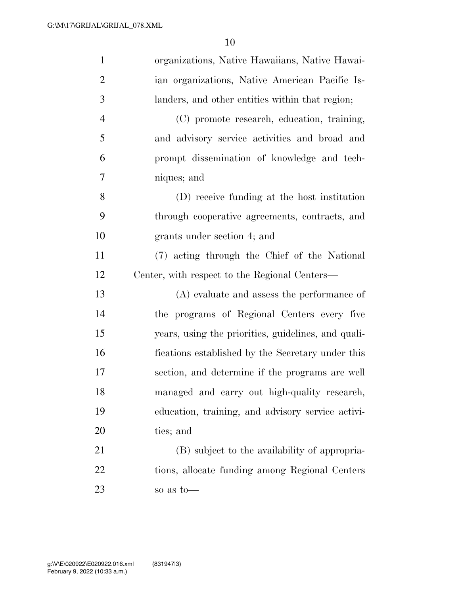| $\mathbf{1}$   | organizations, Native Hawaiians, Native Hawai-      |
|----------------|-----------------------------------------------------|
| $\overline{2}$ | ian organizations, Native American Pacific Is-      |
| 3              | landers, and other entities within that region;     |
| $\overline{4}$ | (C) promote research, education, training,          |
| 5              | and advisory service activities and broad and       |
| 6              | prompt dissemination of knowledge and tech-         |
| 7              | niques; and                                         |
| 8              | (D) receive funding at the host institution         |
| 9              | through cooperative agreements, contracts, and      |
| 10             | grants under section 4; and                         |
| 11             | (7) acting through the Chief of the National        |
| 12             | Center, with respect to the Regional Centers—       |
| 13             | $(A)$ evaluate and assess the performance of        |
| 14             | the programs of Regional Centers every five         |
| 15             | years, using the priorities, guidelines, and quali- |
| 16             | fications established by the Secretary under this   |
| 17             | section, and determine if the programs are well     |
| 18             | managed and carry out high-quality research,        |
| 19             | education, training, and advisory service activi-   |
| 20             | ties; and                                           |
| 21             | (B) subject to the availability of appropria-       |
| 22             | tions, allocate funding among Regional Centers      |
| 23             | so as to-                                           |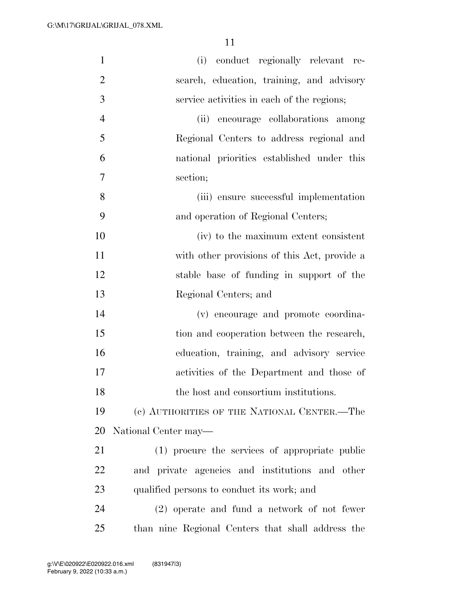| $\mathbf{1}$   | (i) conduct regionally relevant re-               |
|----------------|---------------------------------------------------|
| $\overline{2}$ | search, education, training, and advisory         |
| 3              | service activities in each of the regions;        |
| $\overline{4}$ | (ii) encourage collaborations among               |
| 5              | Regional Centers to address regional and          |
| 6              | national priorities established under this        |
| 7              | section;                                          |
| 8              | (iii) ensure successful implementation            |
| 9              | and operation of Regional Centers;                |
| 10             | (iv) to the maximum extent consistent             |
| 11             | with other provisions of this Act, provide a      |
| 12             | stable base of funding in support of the          |
| 13             | Regional Centers; and                             |
| 14             | (v) encourage and promote coordina-               |
| 15             | tion and cooperation between the research,        |
| 16             | education, training, and advisory service         |
| 17             | activities of the Department and those of         |
| 18             | the host and consortium institutions.             |
| 19             | (c) AUTHORITIES OF THE NATIONAL CENTER.—The       |
| 20             | National Center may—                              |
| 21             | (1) procure the services of appropriate public    |
| 22             | and private agencies and institutions and other   |
| 23             | qualified persons to conduct its work; and        |
| 24             | (2) operate and fund a network of not fewer       |
| 25             | than nine Regional Centers that shall address the |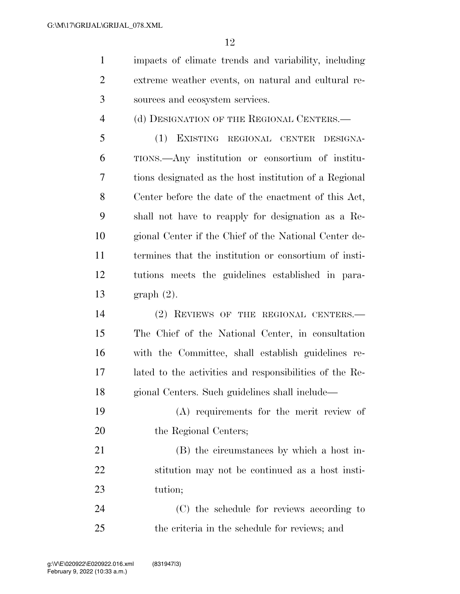impacts of climate trends and variability, including extreme weather events, on natural and cultural re-sources and ecosystem services.

4 (d) DESIGNATION OF THE REGIONAL CENTERS.—

 (1) EXISTING REGIONAL CENTER DESIGNA- TIONS.—Any institution or consortium of institu- tions designated as the host institution of a Regional Center before the date of the enactment of this Act, shall not have to reapply for designation as a Re- gional Center if the Chief of the National Center de- termines that the institution or consortium of insti- tutions meets the guidelines established in para-graph (2).

 (2) REVIEWS OF THE REGIONAL CENTERS.— The Chief of the National Center, in consultation with the Committee, shall establish guidelines re- lated to the activities and responsibilities of the Re-gional Centers. Such guidelines shall include—

 (A) requirements for the merit review of 20 the Regional Centers;

 (B) the circumstances by which a host in- stitution may not be continued as a host insti-tution;

 (C) the schedule for reviews according to the criteria in the schedule for reviews; and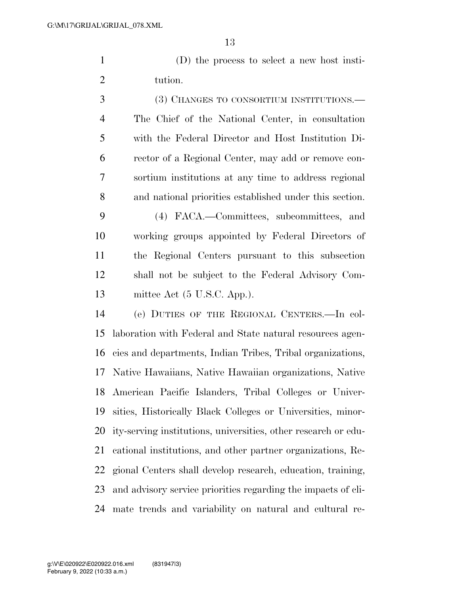(D) the process to select a new host insti-tution.

 (3) CHANGES TO CONSORTIUM INSTITUTIONS.— The Chief of the National Center, in consultation with the Federal Director and Host Institution Di- rector of a Regional Center, may add or remove con- sortium institutions at any time to address regional and national priorities established under this section. (4) FACA.—Committees, subcommittees, and working groups appointed by Federal Directors of the Regional Centers pursuant to this subsection shall not be subject to the Federal Advisory Com- mittee Act (5 U.S.C. App.). (e) DUTIES OF THE REGIONAL CENTERS.—In col- laboration with Federal and State natural resources agen- cies and departments, Indian Tribes, Tribal organizations, Native Hawaiians, Native Hawaiian organizations, Native American Pacific Islanders, Tribal Colleges or Univer-sities, Historically Black Colleges or Universities, minor-

 ity-serving institutions, universities, other research or edu- cational institutions, and other partner organizations, Re- gional Centers shall develop research, education, training, and advisory service priorities regarding the impacts of cli-mate trends and variability on natural and cultural re-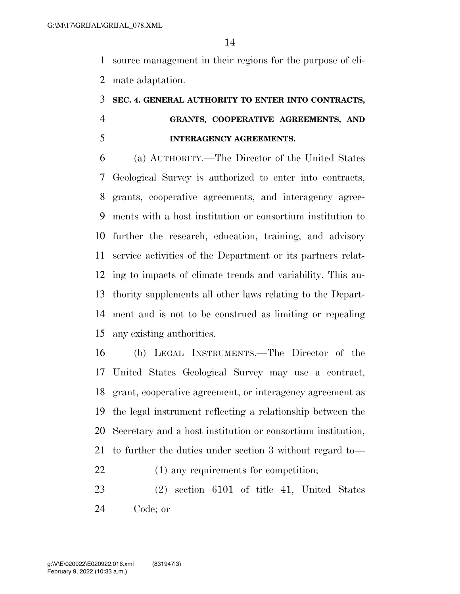source management in their regions for the purpose of cli-mate adaptation.

## **SEC. 4. GENERAL AUTHORITY TO ENTER INTO CONTRACTS, GRANTS, COOPERATIVE AGREEMENTS, AND INTERAGENCY AGREEMENTS.**

 (a) AUTHORITY.—The Director of the United States Geological Survey is authorized to enter into contracts, grants, cooperative agreements, and interagency agree- ments with a host institution or consortium institution to further the research, education, training, and advisory service activities of the Department or its partners relat- ing to impacts of climate trends and variability. This au- thority supplements all other laws relating to the Depart- ment and is not to be construed as limiting or repealing any existing authorities.

 (b) LEGAL INSTRUMENTS.—The Director of the United States Geological Survey may use a contract, grant, cooperative agreement, or interagency agreement as the legal instrument reflecting a relationship between the Secretary and a host institution or consortium institution, to further the duties under section 3 without regard to— (1) any requirements for competition;

 (2) section 6101 of title 41, United States Code; or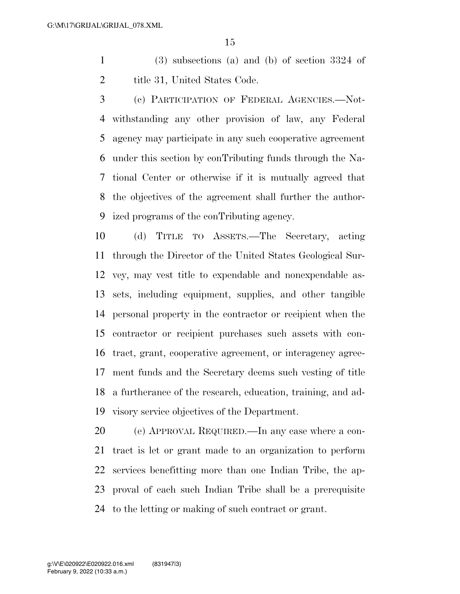(3) subsections (a) and (b) of section 3324 of 2 title 31, United States Code.

 (c) PARTICIPATION OF FEDERAL AGENCIES.—Not- withstanding any other provision of law, any Federal agency may participate in any such cooperative agreement under this section by conTributing funds through the Na- tional Center or otherwise if it is mutually agreed that the objectives of the agreement shall further the author-ized programs of the conTributing agency.

 (d) TITLE TO ASSETS.—The Secretary, acting through the Director of the United States Geological Sur- vey, may vest title to expendable and nonexpendable as- sets, including equipment, supplies, and other tangible personal property in the contractor or recipient when the contractor or recipient purchases such assets with con- tract, grant, cooperative agreement, or interagency agree- ment funds and the Secretary deems such vesting of title a furtherance of the research, education, training, and ad-visory service objectives of the Department.

 (e) APPROVAL REQUIRED.—In any case where a con- tract is let or grant made to an organization to perform services benefitting more than one Indian Tribe, the ap- proval of each such Indian Tribe shall be a prerequisite to the letting or making of such contract or grant.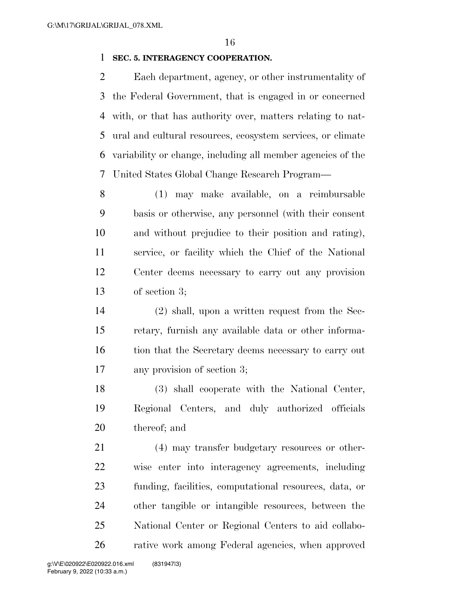#### **SEC. 5. INTERAGENCY COOPERATION.**

 Each department, agency, or other instrumentality of the Federal Government, that is engaged in or concerned with, or that has authority over, matters relating to nat- ural and cultural resources, ecosystem services, or climate variability or change, including all member agencies of the United States Global Change Research Program—

 (1) may make available, on a reimbursable basis or otherwise, any personnel (with their consent and without prejudice to their position and rating), service, or facility which the Chief of the National Center deems necessary to carry out any provision of section 3;

 (2) shall, upon a written request from the Sec- retary, furnish any available data or other informa-16 tion that the Secretary deems necessary to carry out any provision of section 3;

 (3) shall cooperate with the National Center, Regional Centers, and duly authorized officials thereof; and

21 (4) may transfer budgetary resources or other- wise enter into interagency agreements, including funding, facilities, computational resources, data, or other tangible or intangible resources, between the National Center or Regional Centers to aid collabo-rative work among Federal agencies, when approved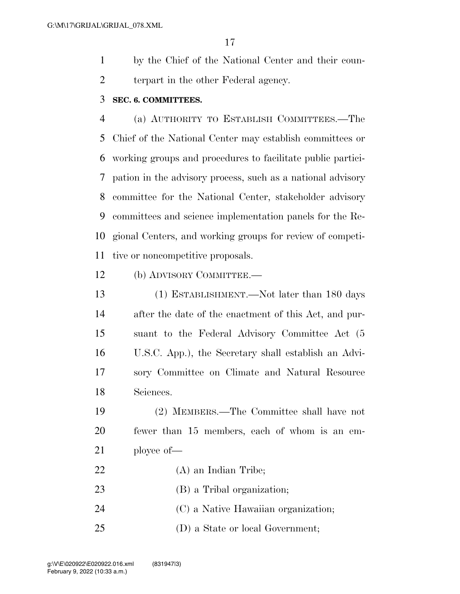by the Chief of the National Center and their coun-terpart in the other Federal agency.

#### **SEC. 6. COMMITTEES.**

 (a) AUTHORITY TO ESTABLISH COMMITTEES.—The Chief of the National Center may establish committees or working groups and procedures to facilitate public partici- pation in the advisory process, such as a national advisory committee for the National Center, stakeholder advisory committees and science implementation panels for the Re- gional Centers, and working groups for review of competi-tive or noncompetitive proposals.

(b) ADVISORY COMMITTEE.—

 (1) ESTABLISHMENT.—Not later than 180 days after the date of the enactment of this Act, and pur- suant to the Federal Advisory Committee Act (5 U.S.C. App.), the Secretary shall establish an Advi- sory Committee on Climate and Natural Resource Sciences.

 (2) MEMBERS.—The Committee shall have not fewer than 15 members, each of whom is an em-ployee of—

- (A) an Indian Tribe;
- (B) a Tribal organization;
- (C) a Native Hawaiian organization;
- (D) a State or local Government;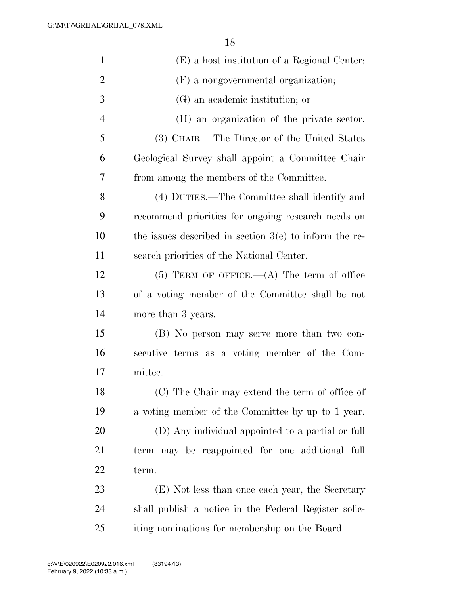| $\mathbf{1}$   | (E) a host institution of a Regional Center;             |
|----------------|----------------------------------------------------------|
| $\overline{2}$ | (F) a nongovernmental organization;                      |
| 3              | (G) an academic institution; or                          |
| $\overline{4}$ | (H) an organization of the private sector.               |
| 5              | (3) CHAIR.—The Director of the United States             |
| 6              | Geological Survey shall appoint a Committee Chair        |
| 7              | from among the members of the Committee.                 |
| 8              | (4) DUTIES.—The Committee shall identify and             |
| 9              | recommend priorities for ongoing research needs on       |
| 10             | the issues described in section $3(e)$ to inform the re- |
| 11             | search priorities of the National Center.                |
| 12             | $(5)$ TERM OF OFFICE.— $(A)$ The term of office          |
| 13             | of a voting member of the Committee shall be not         |
| 14             | more than 3 years.                                       |
| 15             | (B) No person may serve more than two con-               |
| 16             | secutive terms as a voting member of the Com-            |
| 17             | mittee.                                                  |
| 18             | (C) The Chair may extend the term of office of           |
| 19             | a voting member of the Committee by up to 1 year.        |
| 20             | (D) Any individual appointed to a partial or full        |
| 21             | term may be reappointed for one additional full          |
| 22             | term.                                                    |
| 23             | (E) Not less than once each year, the Secretary          |
| 24             | shall publish a notice in the Federal Register solic-    |
| 25             | iting nominations for membership on the Board.           |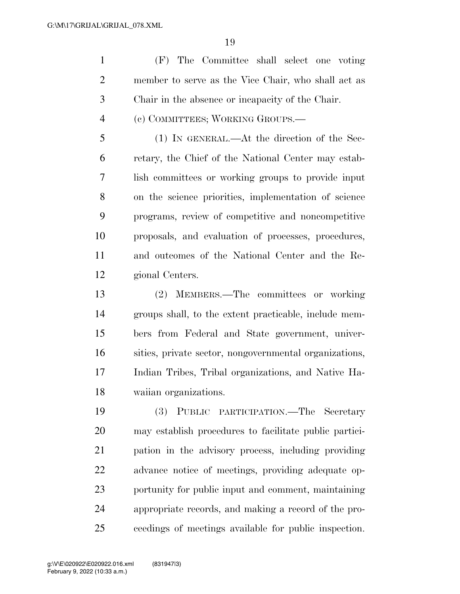(F) The Committee shall select one voting member to serve as the Vice Chair, who shall act as Chair in the absence or incapacity of the Chair. (c) COMMITTEES; WORKING GROUPS.—

 (1) IN GENERAL.—At the direction of the Sec- retary, the Chief of the National Center may estab- lish committees or working groups to provide input on the science priorities, implementation of science programs, review of competitive and noncompetitive proposals, and evaluation of processes, procedures, and outcomes of the National Center and the Re-gional Centers.

 (2) MEMBERS.—The committees or working groups shall, to the extent practicable, include mem- bers from Federal and State government, univer- sities, private sector, nongovernmental organizations, Indian Tribes, Tribal organizations, and Native Ha-waiian organizations.

 (3) PUBLIC PARTICIPATION.—The Secretary may establish procedures to facilitate public partici- pation in the advisory process, including providing advance notice of meetings, providing adequate op- portunity for public input and comment, maintaining appropriate records, and making a record of the pro-ceedings of meetings available for public inspection.